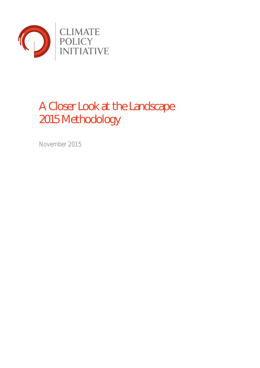

# A Closer Look at the Landscape 2015 Methodology

November 2015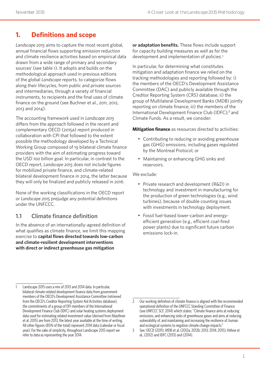# **1. Definitions and scope**

*Landscape 2015* aims to capture the most recent global, annual financial flows supporting emission reduction and climate resilience activities based on empirical data drawn from a wide range of primary and secondary sources<sup>1</sup> (see table 1). It adopts and builds on the methodological approach used in previous editions of the global *Landscape* reports, to categorize flows along their lifecycles, from public and private sources and intermediaries, through a variety of financial instruments, to recipients and the final uses of climate finance on the ground (see Buchner et al., 2011, 2012, 2013 and 2014).

The accounting framework used in *Landscape 2015* differs from the approach followed in the recent and complementary OECD (2015a) report produced in collaboration with CPI that followed to the extent possible the methodology developed by a Technical Working Group composed of 19 bilateral climate finance providers with the aim of estimating progress toward the USD 100 billion goal. In particular, in contrast to the OECD report, *Landscape 2015* does not include figures for mobilized private finance, and climate-related bilateral development finance in 2014, the latter because they will only be finalized and publicly released in 2016.

None of the working classifications in the OECD report or *Landscape 2015* prejudge any potential definitions under the UNFCCC.

# **1.1 Climate finance definition**

In the absence of an internationally-agreed definition of what qualifies as climate finance, we limit this mapping exercise to **capital flows directed towards low-carbon and climate-resilient development interventions with direct or indirect greenhouse gas mitigation** 

**or adaptation benefits.** These flows include support for capacity building measures as well as for the development and implementation of policies.<sup>2</sup>

In particular, for determining what constitutes mitigation and adaptation finance we relied on the tracking methodologies and reporting followed by: i) the members of the OECD's Development Assistance Committee (DAC) and publicly available through the Creditor Reporting System (CRS) database; ii) the group of Multilateral Development Banks (MDB) jointly reporting on climate finance; iii) the members of the International Development Finance Club (IDFC);<sup>3</sup> and Climate Funds. As a result, we consider:

**Mitigation finance** as resources directed to activities:

- Contributing to reducing or avoiding greenhouse gas (GHG) emissions, including gases regulated by the Montreal Protocol; or
- Maintaining or enhancing GHG sinks and reservoirs.

We exclude:

- Private research and development (R&D) in technology and investment in manufacturing for the production of green technologies (e.g., wind turbines), because of double counting issues with investments in technology deployment.
- Fossil fuel-based lower-carbon and energyefficient generation (e.g., efficient coal-fired power plants) due to significant future carbon emissions lock-in.

Landscape 2015 uses a mix of 2013 and 2014 data. In particular, bilateral climate-related development finance data from government members of the OECD's Development Assistance Committee (retrieved from the OECD's Creditor Reporting System Aid Activities database), the commitments of a group of DFI members of the International Development Finance Club (IDFC) and solar heating systems deployment data used for estimating related investment value (derived from Mauthner et al. 2015) are from 2013, the latest year available at the time of writing. All other figures (85% of the total) represent 2014 data (calendar or fiscal year). For the sake of simplicity, throughout Landscape 2015 report we refer to data as representing the year 2014.

<sup>2</sup> Our working definition of climate finance is aligned with the recommended operational definition of the UNFCCC Standing Committee of Finance (see UNFCCC SCF, 2014) which states: "Climate finance aims at reducing emissions, and enhancing sinks of greenhouse gases and aims at reducing vulnerability of, and maintaining and increasing the resilience of, human and ecological systems to negative climate change impacts."

<sup>3</sup> See: OECD (2011); AfDB et al. (2012a; 2012b; 2013; 2014; 2015); Höhne et al., (2012) and IDFC (2013) and (2014).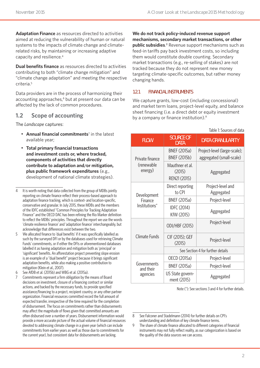**Adaptation Finance** as resources directed to activities aimed at reducing the vulnerability of human or natural systems to the impacts of climate change and climaterelated risks, by maintaining or increasing adaptive capacity and resilience.4

**Dual benefits finance** as resources directed to activities contributing to both "climate change mitigation" and "climate change adaptation" and meeting the respective criteria.5

Data providers are in the process of harmonizing their accounting approaches,<sup>6</sup> but at present our data can be affected by the lack of common procedures.

#### **1.2 Scope of accounting**

The *Landscape* captures:

- **Annual financial commitments**<sup>7</sup> in the latest available year;
- **Total primary financial transactions and investment costs or, where tracked, components of activities that directly contribute to adaptation and/or mitigation, plus public framework expenditures** (e.g., development of national climate strategies).
- 4 It is worth noting that data collected from the group of MDBs jointly reporting on climate finance reflect their process-based approach to adaptation finance tracking, which is context- and location-specific, conservative and granular. In July 2015, these MDBs and the members of the IDFC established "Common Principles for Tracking Adaptation Finance" and the OECD DAC has been refining the Rio Marker definition to reflect the MDBs' principles. Throughout the report we use the words 'climate resilience finance' and 'adaptation finance' interchangeably, but acknowledge that differences exist between the two.
- 5 We allocated finance to 'dual benefits' if it was specifically labelled as such by the surveyed DFI or by the databases used for retrieving Climate Funds' commitments, or if either the DFIs or aforementioned databases labelled it as having adaptation and mitigation both as 'principal' or 'significant' benefits. An afforestation project preventing slope erosion is an example of a "dual benefit" project because it brings significant adaptation benefits, while also making a positive contribution to mitigation (Klein et al., 2007).
- 6 See AfDB et al. (2015b) and WBG et al. (2015a).
- 7 Commitments represent a firm obligation by the means of Board decisions on investment, closure of a financing contract or similar actions, and backed by the necessary funds, to provide specified assistance/financing to a project, recipient country, or any other partner organization. Financial resources committed record the full amount of expected transfer, irrespective of the time required for the completion of disbursement. The focus on commitments rather than disbursements may affect the magnitude of flows given that committed amounts are often disbursed over a number of years. Disbursement information would provide a more accurate picture of the actual volume of financial resources devoted to addressing climate change in a given year (which can include commitments from earlier years as well as those due to commitments for the current year), but consistent data for disbursements are lacking.

**We do not track policy-induced revenue support mechanisms, secondary market transactions, or other public subsidies**. 8 Revenue support mechanisms such as feed-in tariffs pay back investment costs, so including them would constitute double counting. Secondary market transactions (e.g., re-selling of stakes) are not tracked because they do not represent new money targeting climate-specific outcomes, but rather money changing hands.

#### **1.2.1 FINANCIAL INSTRUMENTS**

We capture grants, low-cost (including concessional) and market term loans, project-level equity, and balance sheet financing (i.e. a direct debt or equity investment by a company or finance institution).<sup>9</sup>

Table 1: Sources of data

| <b>FLOW</b>              | <b>SOURCE OF</b><br><b>DATA</b>            | <b>DATA GRANULARITY</b>                                  |  |  |  |  |
|--------------------------|--------------------------------------------|----------------------------------------------------------|--|--|--|--|
| Private finance          | <b>BNEF (2015a)</b><br><b>BNEF (2015b)</b> | Project-level (large-scale);<br>aggregated (small-scale) |  |  |  |  |
| (renewable<br>energy)    | Mauthner et al.<br>(2015)<br>REN21 (2015)  | Aggregated                                               |  |  |  |  |
| Development              | Direct reporting<br>to CPI                 | Project-level and<br>Aggregated                          |  |  |  |  |
| Finance                  | <b>BNEF (2015a)</b>                        | Project-level                                            |  |  |  |  |
| Institutions*            | IDFC (2014)<br>KfW (2015)                  | Aggregated                                               |  |  |  |  |
|                          | ODI/HBF (2015)                             | Project-level                                            |  |  |  |  |
| Climate Funds            | CIF (2015); GEF<br>(2015)                  | Project-level                                            |  |  |  |  |
|                          | See Section 4 for further details          |                                                          |  |  |  |  |
|                          | OECD (2015a)                               | Project-level                                            |  |  |  |  |
| Governments<br>and their | <b>BNEF (2015a)</b>                        | Project-level                                            |  |  |  |  |
| agencies                 | US State govern-<br>ment (2015)            | Aggregated                                               |  |  |  |  |

Note (\*): See sections 3 and 4 for further details.

8 See Falconer and Stadelmann (2014) for further details on CPI's understanding and definition of key climate finance terms.

9 The share of climate finance allocated to different categories of financial instruments may not fully reflect reality, as our categorization is based on the quality of the data sources we can access.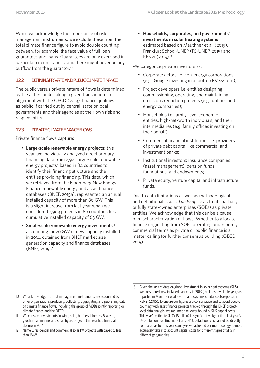While we acknowledge the importance of risk management instruments, we exclude these from the total climate finance figure to avoid double counting between, for example, the face value of full loan guarantees and loans. Guarantees are only exercised in particular circumstances, and there might never be any outflow from the guarantor.10

#### **1.2.2 DEFINING PRIVATE AND PUBLIC CLIMATE FINANCE**

The public versus private nature of flows is determined by the actors undertaking a given transaction. In alignment with the OECD (2013), finance qualifies as public if carried out by central, state or local governments and their agencies at their own risk and responsibility.

#### **1.2.3 PRIVATE CLIMATE FINANCE FLOWS**

Private finance flows capture:

- **Large-scale renewable energy projects:** this year, we individually analyzed direct primary financing data from 2,921 large-scale renewable energy projects<sup>11</sup> based in 84 countries to identify their financing structure and the entities providing financing. This data, which we retrieved from the Bloomberg New Energy Finance renewable energy and asset finance databases (BNEF, 2015a), represented an annual installed capacity of more than 80 GW. This is a slight increase from last year when we considered 2,903 projects in 80 countries for a cumulative installed capacity of 63 GW.
- **Small-scale renewable energy investments**<sup>12</sup> accounting for 20 GW of new capacity installed in 2014, obtained from BNEF market size generation capacity and finance databases (BNEF, 2015b).

• **Households, corporates, and governments' investments in solar heating systems** estimated based on Mauthner et al. (2015), Frankfurt School-UNEP (FS-UNEP, 2015) and REN21 (2015). 13

We categorize private investors as:

- Corporate actors i.e. non-energy corporations (e.g., Google investing in a rooftop PV system);
- Project developers i.e. entities designing, commissioning, operating, and maintaining emissions reduction projects (e.g., utilities and energy companies);
- Households i.e. family-level economic entities, high-net-worth individuals, and their intermediaries (e.g. family offices investing on their behalf);
- Commercial financial institutions i.e. providers of private debt capital like commercial and investment banks;
- Institutional investors: insurance companies (asset management), pension funds, foundations, and endowments;
- Private equity, venture capital and infrastructure funds.

Due to data limitations as well as methodological and definitional issues, *Landscape 2015* treats partially or fully state-owned enterprises (SOEs) as private entities. We acknowledge that this can be a cause of mischaracterization of flows. Whether to allocate finance originating from SOEs operating under purely commercial terms as private or public finance is a matter calling for further consensus building (OECD, 2015).

<sup>10</sup> We acknowledge that risk management instruments are accounted by other organizations producing, collecting, aggregating and publishing data on climate finance flows, including the group of MDBs jointly reporting on climate finance and the OECD.

<sup>11</sup> We consider investments in wind, solar, biofuels, biomass & waste, geothermal, marine, and small hydro projects that reached financial closure in 2014.

<sup>12</sup> Namely, residential and commercial solar PV projects with capacity less than 1MW.

<sup>13</sup> Given the lack of data on global investment in solar heat systems (SHS) we considered new installed capacity in 2013 (the latest available year) as reported in Mauthner et al. (2015) and systems capital costs reported in REN21 (2015). To ensure our figures are conservative and to avoid double counting with asset finance projects tracked through the BNEF projectlevel data analysis, we assumed the lower bound of SHS capital costs. This year's estimate (USD 18 billion) is significantly higher than last year's USD 11 billion (see Buchner et al, 2014). Data, however, cannot be directly compared as for this year's analysis we adjusted our methodology to more accurately take into account capital costs for different types of SHS in different geographies.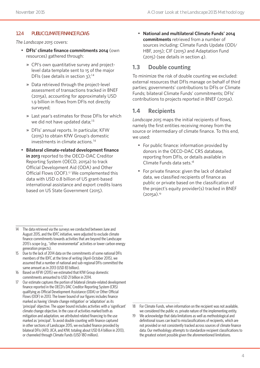#### **1.2.4 PUBLIC CLIMATE FINANCE FLOWS**

*The Landscape 2015* covers:

- **DFIs' climate finance commitments 2014** (own resources) gathered through:
	- » CPI's own quantitative survey and projectlevel data template sent to 15 of the major DFIs (see details in section  $3$ );<sup>14</sup>
	- » Data retrieved through the project-level assessment of transactions tracked in BNEF (2015a), accounting for approximately USD 1.9 billion in flows from DFIs not directly surveyed;
	- » Last year's estimates for those DFIs for which we did not have updated data;<sup>15</sup>
	- » DFIs' annual reports. In particular, KFW (2015) to obtain KfW Group's domestic investments in climate actions.<sup>16</sup>
- **Bilateral climate-related development finance in 2013** reported to the OECD-DAC Creditor Reporting System (OECD, 2015a) to track Official Development Aid (ODA) and Other Official Flows (OOF).<sup>17</sup> We complemented this data with USD 0.8 billion of US grant-based international assistance and export credits loans based on US State Government (2015).

- 15 Due to the lack of 2014 data on the commitments of some national DFIs members of the IDFC at the time of writing (April-October 2015), we assumed that a number of national and sub-regional DFIs committed the same amount as in 2013 (USD 83 billion).
- 16 Based on KFW (2015) we estimated that KfW Group domestic commitments amounted to USD 21 billion in 2014.
- 17 Our estimate captures the portion of bilateral climate-related development finance reported in the OECD's DAC Creditor Reporting System (CRS) qualifying as Official Development Assistance (ODA) or Other Official Flows (OOF) in 2013. The lower bound of our figures includes finance marked as having 'climate change mitigation' or 'adaptation' as its 'principal' objective. The upper bound includes activities with a 'significant' climate change objective. In the case of activities marked both as mitigation and adaptation, we attributed related financing to the use marked as 'principal'. To avoid double counting with finance captured in other sections of Landscape 2015, we excluded finance provided by bilateral DFIs (AFD, JICA, and KfW, totaling about USD 8.4 billion in 2013), or channeled through Climate Funds (USD 180 million).

• **National and multilateral Climate Funds' 2014 commitments** retrieved from a number of sources including: Climate Funds Update (ODI/ HBF, 2015); CIF (2015) and Adaptation Fund (2015) (see details in section 4).

#### **1.3 Double counting**

To minimize the risk of double counting we excluded: external resources that DFIs manage on behalf of third parties; governments' contributions to DFIs or Climate Funds; bilateral Climate Funds' commitments; DFIs' contributions to projects reported in BNEF (2015a).

#### **1.4 Recipients**

*Landscape 2015* maps the initial recipients of flows, namely the first entities receiving money from the source or intermediary of climate finance. To this end, we used:

- For public finance: information provided by donors in the OECD-DAC CRS database, reporting from DFIs, or details available in Climate Funds data sets.18
- For private finance: given the lack of detailed data, we classified recipients of finance as public or private based on the classification of the project's equity provider(s) tracked in BNEF  $(2015a).<sup>19</sup>$

<sup>14</sup> The data retrieved via the surveys we conducted between June and August 2015, and the IDFC initiative, were adjusted to exclude climate finance commitments towards activities that are beyond the Landscape 2015's scope (e.g., "other environmental" activities or lower carbon energy generation projects).

<sup>18</sup> For Climate Funds, when information on the recipient was not available, we considered the public vs. private nature of the implementing entity.

<sup>19</sup> We acknowledge that data limitations as well as methodological and definitional issues can lead to misclassifications of recipients, which are not provided or not consistently tracked across sources of climate finance data. Our methodology attempts to standardize recipient classifications to the greatest extent possible given the aforementioned limitations.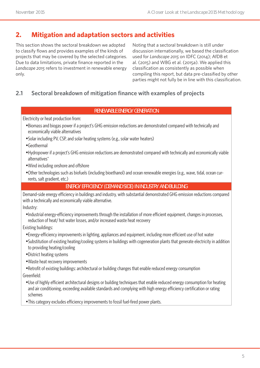# **2. Mitigation and adaptation sectors and activities**

This section shows the sectoral breakdown we adopted to classify flows and provides examples of the kinds of projects that may be covered by the selected categories. Due to data limitations, private finance reported in the *Landscape 2015* refers to investment in renewable energy only.

Noting that a sectoral breakdown is still under discussion internationally, we based the classification used for *Landscape 2015* on IDFC (2014); AfDB et al. (2015) and WBG et al. (2015a). We applied this classification as consistently as possible when compiling this report, but data pre-classified by other parties might not fully be in line with this classification.

### **2.1 Sectoral breakdown of mitigation finance with examples of projects**

#### **RENEWABLE ENERGY GENERATION**

Electricity or heat production from:

- Biomass and biogas power if a project's GHG emission reductions are demonstrated compared with technically and economically viable alternatives
- •Solar including PV, CSP, and solar heating systems (e.g., solar water heaters)
- Geothermal
- Hydropower if a project's GHG emission reductions are demonstrated compared with technically and economically viable alternatives\*
- Wind including onshore and offshore
- Other technologies such as biofuels (including bioethanol) and ocean renewable energies (e.g., wave, tidal, ocean currents, salt gradient, etc.)

#### **ENERGY EFFICIENCY (DEMAND SIDE) IN INDUSTRY AND BUILDING**

Demand-side energy efficiency in buildings and industry, with substantial demonstrated GHG emission reductions compared with a technically and economically viable alternative.

Industry:

• Industrial energy-efficiency improvements through the installation of more efficient equipment, changes in processes, reduction of heat/ hot water losses, and/or increased waste heat recovery

Existing buildings:

- •Energy-efficiency improvements in lighting, appliances and equipment, including more efficient use of hot water
- •Substitution of existing heating/cooling systems in buildings with cogeneration plants that generate electricity in addition to providing heating/cooling
- District heating systems
- Waste heat recovery improvements
- Retrofit of existing buildings: architectural or building changes that enable reduced energy consumption
- Greenfield:
- Use of highly efficient architectural designs or building techniques that enable reduced energy consumption for heating and air conditioning, exceeding available standards and complying with high energy efficiency certification or rating schemes
- This category excludes efficiency improvements to fossil fuel-fired power plants.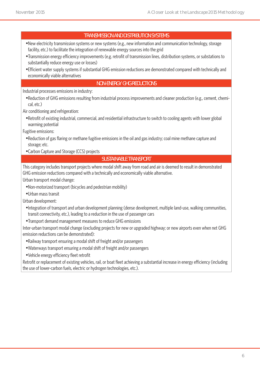#### **TRANSMISSION AND DISTRIBUTION SYSTEMS**

- New electricity transmission systems or new systems (e.g., new information and communication technology, storage facility, etc.) to facilitate the integration of renewable energy sources into the grid
- Transmission energy efficiency improvements (e.g. retrofit of transmission lines, distribution systems, or substations to substantially reduce energy use or losses)
- •Efficient water supply systems if substantial GHG emission reductions are demonstrated compared with technically and economically viable alternatives

#### **NON-ENERGY GHG REDUCTIONS**

Industrial processes emissions in industry:

• Reduction of GHG emissions resulting from industrial process improvements and cleaner production (e.g., cement, chemical, etc.)

Air conditioning and refrigeration:

• Retrofit of existing industrial, commercial, and residential infrastructure to switch to cooling agents with lower global warming potential

Fugitive emissions:

- Reduction of gas flaring or methane fugitive emissions in the oil and gas industry; coal mine methane capture and storage; etc.
- Carbon Capture and Storage (CCS) projects

#### **SUSTAINABLE TRANSPORT**

This category includes transport projects where modal shift away from road and air is deemed to result in demonstrated GHG emission reductions compared with a technically and economically viable alternative.

Urban transport modal change:

- Non-motorized transport (bicycles and pedestrian mobility)
- Urban mass transit

Urban development:

- Integration of transport and urban development planning (dense development, multiple land-use, walking communities, transit connectivity, etc.), leading to a reduction in the use of passenger cars
- Transport demand management measures to reduce GHG emissions

Inter-urban transport modal change (excluding projects for new or upgraded highway; or new airports even when net GHG emission reductions can be demonstrated):

- Railway transport ensuring a modal shift of freight and/or passengers
- Waterways transport ensuring a modal shift of freight and/or passengers
- Vehicle energy efficiency fleet retrofit

Retrofit or replacement of existing vehicles, rail, or boat fleet achieving a substantial increase in energy efficiency (including the use of lower-carbon fuels, electric or hydrogen technologies, etc.).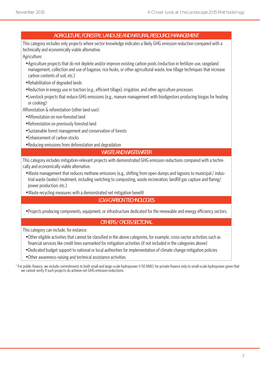#### **AGRICULTURE, FORESTRY, LAND USE AND NATURAL RESOURCE MANAGEMENT**

This category includes only projects where sector knowledge indicates a likely GHG emission reduction compared with a technically and economically viable alternative.

Agriculture:

- Agriculture projects that do not deplete and/or improve existing carbon pools (reduction in fertilizer use, rangeland management, collection and use of bagasse, rice husks, or other agricultural waste, low tillage techniques that increase carbon contents of soil, etc.)
- Rehabilitation of degraded lands
- Reduction in energy use in traction (e.g., efficient tillage), irrigation, and other agriculture processes
- Livestock projects that reduce GHG emissions (e.g., manure management with biodigestors producing biogas for heating or cooking)

Afforestation & reforestation (other land-use):

- Afforestation on non-forested land
- Reforestation on previously forested land
- •Sustainable forest management and conservation of forests
- •Enhancement of carbon stocks
- Reducing emissions from deforestation and degradation

#### **WASTE AND WASTEWATER**

This category includes mitigation-relevant projects with demonstrated GHG emission reductions compared with a technically and economically viable alternative.

- Waste management that reduces methane emissions (e.g., shifting from open dumps and lagoons to municipal / industrial waste (water) treatment, including switching to composting, waste incineration, landfill gas capture and flaring/ power production, etc.)
- Waste recycling measures with a demonstrated net mitigation benefit

#### **LOW-CARBON TECHNOLOGIES**

• Projects producing components, equipment, or infrastructure dedicated for the renewable and energy efficiency sectors.

#### **OTHERS / CROSS-SECTORAL**

This category can include, for instance:

- Other eligible activities that cannot be classified in the above categories, for example, cross-sector activities such as financial services like credit lines earmarked for mitigation activities (if not included in the categories above)
- Dedicated budget support to national or local authorities for implementation of climate change mitigation policies
- Other awareness-raising and technical assistance activities

\* For public finance, we include commitments to both small and large-scale hydropower (>50 MW); for private finance only to small-scale hydropower given that we cannot verify if such projects do achieve net GHG emission reductions.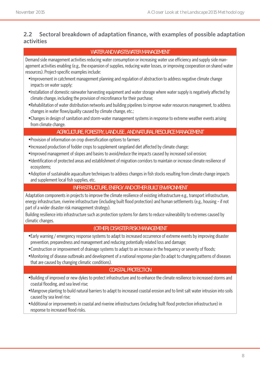## **2.2 Sectoral breakdown of adaptation finance, with examples of possible adaptation activities**

#### **WATER AND WASTEWATER MANAGEMENT**

Demand side management activities reducing water consumption or increasing water use efficiency and supply side management activities enabling (e.g., the expansion of supplies, reducing water losses, or improving cooperation on shared water resources). Project-specific examples include:

- Improvement in catchment management planning and regulation of abstraction to address negative climate change impacts on water supply;
- Installation of domestic rainwater harvesting equipment and water storage where water supply is negatively affected by climate change, including the provision of microfinance for their purchase;
- Rehabilitation of water distribution networks and building pipelines to improve water resources management, to address changes in water flows/quality caused by climate change, etc.;
- Changes in design of sanitation and storm-water management systems in response to extreme weather events arising from climate change.

#### **AGRICULTURE, FORESTRY, LAND USE , AND NATURAL RESOURCE MANAGEMENT**

- Provision of information on crop diversification options to farmers
- Increased production of fodder crops to supplement rangeland diet affected by climate change;
- Improved management of slopes and basins to avoid/reduce the impacts caused by increased soil erosion;
- Identification of protected areas and establishment of migration corridors to maintain or increase climate resilience of ecosystems;
- Adoption of sustainable aquaculture techniques to address changes in fish stocks resulting from climate change impacts and supplement local fish supplies, etc.

#### **INFRASTRUCTURE, ENERGY AND OTHER BUILT ENVIRONMENT**

Adaptation components in projects to improve the climate resilience of existing infrastructure e.g., transport infrastructure, energy infrastructure, riverine infrastructure (including built flood protection) and human settlements (e.g., housing – if not part of a wider disaster risk management strategy).

Building resilience into infrastructure such as protection systems for dams to reduce vulnerability to extremes caused by climatic changes.

#### **(OTHER) DISASTER RISK MANAGEMENT**

- •Early warning / emergency response systems to adapt to increased occurrence of extreme events by improving disaster prevention, preparedness and management and reducing potentially related loss and damage;
- Construction or improvement of drainage systems to adapt to an increase in the frequency or severity of floods;
- Monitoring of disease outbreaks and development of a national response plan (to adapt to changing patterns of diseases that are caused by changing climatic conditions).

#### **COASTAL PROTECTION**

- Building of improved or new dykes to protect infrastructure and to enhance the climate resilience to increased storms and coastal flooding, and sea level rise;
- Mangrove planting to build natural barriers to adapt to increased coastal erosion and to limit salt water intrusion into soils caused by sea level rise;
- Additional or improvements in coastal and riverine infrastructures (including built flood protection infrastructure) in response to increased flood risks.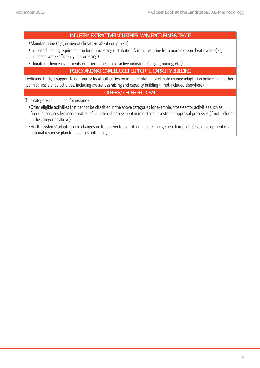#### **INDUSTRY, EXTRACTIVE INDUSTRIES, MANUFACTURING & TRADE**

- Manufacturing (e.g., design of climate-resilient equipment);
- Increased cooling requirement in food processing distribution & retail resulting from more extreme heat events (e.g., increased water-efficiency in processing):
- Climate resilience investments or programmes in extractive industries (oil, gas, mining, etc.).

#### **POLICY AND NATIONAL BUDGET SUPPORT & CAPACITY BUILDING**

Dedicated budget support to national or local authorities for implementation of climate change adaptation policies; and other technical assistance activities, including awareness raising and capacity building (if not included elsewhere).

#### **OTHERS / CROSS-SECTORAL**

This category can include, for instance:

- Other eligible activities that cannot be classified in the above categories for example, cross-sector activities such as financial services like incorporation of climate risk assessment in ministerial investment appraisal processes (if not included in the categories above);
- Health systems' adaptation to changes in disease vectors or other climate change health impacts (e.g., development of a national response plan for diseases outbreaks).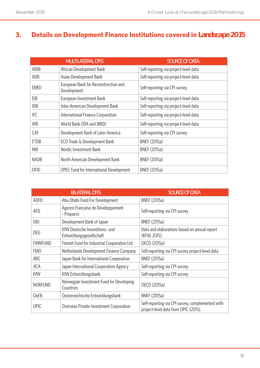# **3. Details on Development Finance Institutions covered in** *Landscape 2015*

|             | <b>MULTILATERAL DFIS</b>                            | <b>SOURCE OF DATA</b>                 |
|-------------|-----------------------------------------------------|---------------------------------------|
| AfDB        | African Development Bank                            | Self-reporting via project-level data |
| ADB         | Asian Development Bank                              | Self-reporting via project-level data |
| <b>EBRD</b> | European Bank for Reconstruction and<br>Development | Self-reporting via CPI survey         |
| EIB         | European Investment Bank                            | Self-reporting via project-level data |
| <b>IDB</b>  | Inter-American Development Bank                     | Self-reporting via project-level data |
| <b>IFC</b>  | International Finance Corporation                   | Self-reporting via project-level data |
| <b>WB</b>   | World Bank (IDA and IBRD)                           | Self-reporting via project-level data |
| CAF         | Development Bank of Latin America                   | Self-reporting via CPI survey         |
| <b>ETDB</b> | ECO Trade & Development Bank                        | <b>BNEF (2015a)</b>                   |
| <b>NIB</b>  | Nordic Investment Bank                              | <b>BNEF (2015a)</b>                   |
| <b>NADB</b> | North American Development Bank                     | <b>BNEF (2015a)</b>                   |
| <b>OFID</b> | OPEC Fund for International Development             | <b>BNEF (2015a)</b>                   |

|                                                                   | <b>BILATERAL DFIS</b>                                 | <b>SOURCE OF DATA</b>                                                                    |  |  |
|-------------------------------------------------------------------|-------------------------------------------------------|------------------------------------------------------------------------------------------|--|--|
| <b>ADFD</b>                                                       | Abu Dhabi Fund For Development                        | <b>BNEF (2015a)</b>                                                                      |  |  |
| AFD                                                               | Agence Française de Développement<br>- Proparco       | Self-reporting via CPI survey                                                            |  |  |
| DBJ                                                               | Development Bank of Japan                             | <b>BNEF (2015a)</b>                                                                      |  |  |
| KfW Deutsche Investitions- und<br>DEG<br>Entwicklungsgesellschaft |                                                       | Data and elaborations based on annual report<br>(KFW, 2015)                              |  |  |
| <b>FINNFUND</b>                                                   | Finnish Fund for Industrial Cooperation Ltd           | OECD (2015a)                                                                             |  |  |
| <b>FMO</b>                                                        | Netherlands Development Finance Company               | Self-reporting via CPI survey project-level data                                         |  |  |
| <b>JBIC</b>                                                       | Japan Bank for International Cooperation              | <b>BNEF (2015a)</b>                                                                      |  |  |
| <b>JICA</b>                                                       | Japan International Cooperation Agency                | Self-reporting via CPI survey                                                            |  |  |
| KfW                                                               | KfW Entwicklungsbank                                  | Self-reporting via CPI survey                                                            |  |  |
| <b>NORFUND</b>                                                    | Norwegian Investment Fund for Developing<br>Countries | OECD (2015a)                                                                             |  |  |
| <b>OeEB</b>                                                       | Oesterreichische Entwicklungsbank                     | <b>BNEF (2015a)</b>                                                                      |  |  |
| <b>OPIC</b>                                                       | Overseas Private Investment Corporation               | Self-reporting via CPI survey, complemented with<br>project-level data from OPIC (2015). |  |  |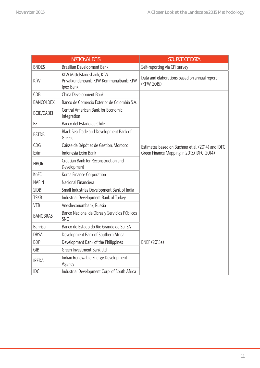|                    |                   | <b>NATIONAL DFIS</b>                                                              | <b>SOURCE OF DATA</b>                                       |  |  |
|--------------------|-------------------|-----------------------------------------------------------------------------------|-------------------------------------------------------------|--|--|
|                    | <b>BNDES</b>      | Brazilian Development Bank                                                        | Self-reporting via CPI survey                               |  |  |
|                    | <b>KfW</b>        | KfW Mittelstandsbank; KfW<br>Privatkundenbank; KfW Kommunalbank; KfW<br>Ipex-Bank | Data and elaborations based on annual report<br>(KFW, 2015) |  |  |
|                    | <b>CDB</b>        | China Development Bank                                                            |                                                             |  |  |
|                    | <b>BANCOLDEX</b>  | Banco de Comercio Exterior de Colombia S.A.                                       |                                                             |  |  |
|                    | <b>BCIE/CABEI</b> | <b>Central American Bank for Economic</b><br>Integration                          |                                                             |  |  |
|                    | <b>BE</b>         | Banco del Estado de Chile                                                         |                                                             |  |  |
|                    | <b>BSTDB</b>      | Black Sea Trade and Development Bank of<br>Greece                                 |                                                             |  |  |
| <b>CDG</b><br>Exim |                   | Caisse de Dépôt et de Gestion, Morocco                                            | Estimates based on Buchner et al. (2014) and IDFC           |  |  |
|                    |                   | Indonesia Exim Bank                                                               | Green Finance Mapping in 2013, (IDFC, 2014)                 |  |  |
|                    | <b>HBOR</b>       | Croatian Bank for Reconstruction and<br>Development                               |                                                             |  |  |
|                    | KoFC              | Korea Finance Corporation                                                         |                                                             |  |  |
|                    | <b>NAFIN</b>      | Nacional Financiera                                                               |                                                             |  |  |
|                    | <b>SIDBI</b>      | Small Industries Development Bank of India                                        |                                                             |  |  |
|                    | <b>TSKB</b>       | Industrial Development Bank of Turkey                                             |                                                             |  |  |
|                    | <b>VEB</b>        | Vnesheconombank, Russia                                                           |                                                             |  |  |
|                    | <b>BANOBRAS</b>   | Banco Nacional de Obras y Servicios Públicos<br><b>SNC</b>                        |                                                             |  |  |
|                    | <b>Banrisul</b>   | Banco do Estado do Rio Grande do Sul SA                                           |                                                             |  |  |
|                    | <b>DBSA</b>       | Development Bank of Southern Africa                                               |                                                             |  |  |
|                    | <b>BDP</b>        | Development Bank of the Philippines                                               | <b>BNEF (2015a)</b>                                         |  |  |
|                    | GIB               | Green Investment Bank Ltd                                                         |                                                             |  |  |
|                    | <b>IREDA</b>      | Indian Renewable Energy Development<br>Agency                                     |                                                             |  |  |
|                    | <b>IDC</b>        | Industrial Development Corp. of South Africa                                      |                                                             |  |  |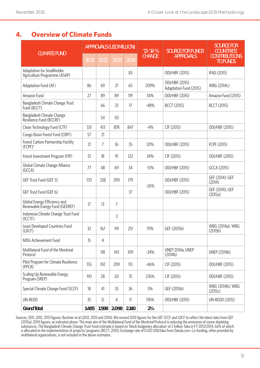# **4. Overview of Climate Funds**

|                                                                | <b>APPROVALS (USD MILLION)</b> |       |       |        | $13 - 14%$    | <b>SOURCE FOR FUNDS'</b>                 | <b>SOURCE FOR</b><br><b>COUNTRIES</b>   |
|----------------------------------------------------------------|--------------------------------|-------|-------|--------|---------------|------------------------------------------|-----------------------------------------|
| <b>CLIMATE FUND</b>                                            | 2011                           | 2012  | 2013  | 2014   | <b>CHANGE</b> | <b>APPROVALS</b>                         | <b>CONTRIBUTIONS</b><br><b>TO FUNDS</b> |
| Adaptation for Smallholder<br>Agriculture Programme (ASAP)     |                                |       |       | 83     |               | ODI/HBF (2015)                           | IFAD (2015)                             |
| Adaptation Fund (AF)                                           | 86                             | 69    | 21    | 65     | 209%          | ODI/HBF (2015)<br>Adaptation Fund (2015) | WBG (2014c)                             |
| Amazon Fund                                                    | 27                             | 89    | 89    | 119    | 34%           | ODI/HBF (2015)                           | Amazon Fund (2015)                      |
| Bangladesh Climate Change Trust<br>Fund (BCCT)                 |                                | 66    | 33    | 17     | $-48%$        | <b>BCCT (2015)</b>                       | <b>BCCT (2015)</b>                      |
| Bangladesh Climate Change<br>Resilience Fund (BCCRF)           |                                | 54    | 50    |        |               |                                          |                                         |
| Clean Technology Fund (CTF)                                    | 531                            | 413   | 878   | 847    | $-4%$         | CIF (2015)                               | ODI/HBF (2015)                          |
| Congo Basin Forest Fund (CBFF)                                 | 57                             | 21    |       |        |               |                                          |                                         |
| Forest Carbon Partnership Facility<br>$(FCPF)^*$               | 21                             | 7     | 16    | 35     | 121%          | ODI/HBF (2015)                           | FCPF (2015)                             |
| Forest Investment Program (FIP)                                | 51                             | 18    | 91    | 122    | 34%           | CIF (2015)                               | ODI/HBF (2015)                          |
| Global Climate Change Alliance<br>(GCCA)                       | 77                             | 48    | 69    | 34     | $-51%$        | ODI/HBF (2015)                           | GCCA (2015)                             |
| GEF Trust Fund (GEF 5)                                         | 170                            | 238   | 290   | 179    | $-26%$        | ODI/HBF (2015)                           | GEF (2014); GEF<br>(2014)               |
| GEF Trust Fund (GEF 6)                                         |                                |       |       | 37     |               | ODI/HBF (2015)                           | GEF (2014); GEF<br>(2015a)              |
| Global Energy Efficiency and<br>Renewable Energy Fund (GEEREF) | 17                             | 13    | 7     |        |               |                                          |                                         |
| Indonesia Climate Change Trust Fund<br>(ICCTF)                 |                                |       | 3     |        |               |                                          |                                         |
| Least Developed Countries Fund<br>(LDCF)                       | 32                             | 167   | 119   | 251    | 111%          | GEF (2015b)                              | WBG (2014a); WBG<br>(2015b)             |
| MDG Achievement Fund                                           | 15                             | 4     |       |        |               |                                          |                                         |
| Multilateral Fund of the Montreal<br>Protocol                  |                                | 118   | 143   | 109    | $-24%$        | UNEP 2014a; UNEP<br>(2014b)              | <b>UNEP (2014b)</b>                     |
| Pilot Program for Climate Resilience<br>(PPCR)                 | 155                            | 192   | 209   | 113    | $-46%$        | CIF (2015)                               | ODI/HBF (2015)                          |
| Scaling Up Renewable Energy<br>Program (SREP)                  | 193                            | 28    | 20    | 75     | 276%          | CIF (2015)                               | ODI/HBF (2015)                          |
| Special Climate Change Fund (SCCF)                             | 18                             | 41    | 35    | 36     | 5%            | GEF (2015b)                              | WBG (2014b); WBG<br>(2015c)             |
| UN-REDD                                                        | 35                             | 12    | 4     | $11\,$ | 176%          | ODI/HBF (2015)                           | <b>UN-REDD (2015)</b>                   |
| <b>Grand Total</b>                                             | 1.485                          | 1.598 | 2.098 | 2.140  | 2%            |                                          |                                         |

Sources: 2011, 2012, 2013 figures: Buchner et al (2012, 2013 and 2014). We revised 2013 figures for the GEF SCCF and LDCF to reflect the latest data from GEF (2015a). 2014 figures: as indicated above. The main aim of the Multilateral Fund of the Montreal Protocol is reducing the emissions of ozone depleting substances. The Bangladesh Climate Change Trust Fund estimate is based on 'block budgetary allocation' of 2 trillion Taka in FY 2013/2014, 66% of which is allocated to the implementation of projects/ programs (BCCT, 2015); Exchange rate of 0.012 USD/taka from Oanda.com. Co-funding, often provided by multilateral organizations, is not included in the above estimates.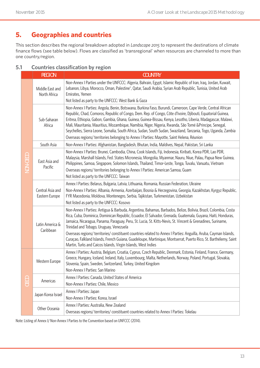# **5. Geographies and countries**

This section describes the regional breakdown adopted in *Landscape 2015* to represent the destinations of climate finance flows (see table below). Flows are classified as 'transregional' when resources are channeled to more than one country/region.

|  |          | <b>REGION</b>                      | <b>COUNTRY</b>                                                                                                                                                                                                                                                                                                                                                                                                                                                                                                                                                                                                                                                       |  |  |  |  |  |
|--|----------|------------------------------------|----------------------------------------------------------------------------------------------------------------------------------------------------------------------------------------------------------------------------------------------------------------------------------------------------------------------------------------------------------------------------------------------------------------------------------------------------------------------------------------------------------------------------------------------------------------------------------------------------------------------------------------------------------------------|--|--|--|--|--|
|  |          | Middle East and<br>North Africa    | Non-Annex I Parties under the UNFCCC: Algeria, Bahrain, Egypt, Islamic Republic of Iran, Iraq, Jordan, Kuwait,<br>Lebanon, Libya, Morocco, Oman, Palestine*, Qatar, Saudi Arabia, Syrian Arab Republic, Tunisia, United Arab<br>Emirates, Yemen                                                                                                                                                                                                                                                                                                                                                                                                                      |  |  |  |  |  |
|  |          |                                    | Not listed as party to the UNFCCC: West Bank & Gaza                                                                                                                                                                                                                                                                                                                                                                                                                                                                                                                                                                                                                  |  |  |  |  |  |
|  |          | Sub-Saharan<br>Africa              | Non-Annex I Parties: Angola, Benin, Botswana, Burkina Faso, Burundi, Cameroon, Cape Verde, Central African<br>Republic, Chad, Comoros, Republic of Congo, Dem. Rep. of Congo, Côte d'Ivoire, Djibouti, Equatorial Guinea,<br>Eritrea, Ethiopia, Gabon, Gambia, Ghana, Guinea, Guinea-Bissau, Kenya, Lesotho, Liberia, Madagascar, Malawi,<br>Mali, Mauritania, Mauritius, Mozambique, Namibia, Niger, Nigeria, Rwanda, São Tomé & Principe, Senegal,<br>Seychelles, Sierra Leone, Somalia, South Africa, Sudan, South Sudan, Swaziland, Tanzania, Togo, Uganda, Zambia<br>Overseas regions/ territories belonging to Annex I Parties: Mayotte, Saint Helena, Réunion |  |  |  |  |  |
|  |          | South Asia                         | Non-Annex I Parties: Afghanistan, Bangladesh, Bhutan, India, Maldives, Nepal, Pakistan, Sri Lanka                                                                                                                                                                                                                                                                                                                                                                                                                                                                                                                                                                    |  |  |  |  |  |
|  | NON-OECD | East Asia and<br>Pacific           | Non-Annex I Parties: Brunei, Cambodia, China, Cook Islands, Fiji, Indonesia, Kiribati, Korea PDR, Lao PDR,<br>Malaysia, Marshall Islands, Fed. States Micronesia, Mongolia, Myanmar, Nauru, Niue, Palau, Papua New Guinea,<br>Philippines, Samoa, Singapore, Solomon Islands, Thailand, Timor-Leste, Tonga, Tuvalu, Vanuatu, Vietnam<br>Overseas regions/ territories belonging to Annex I Parties: American Samoa, Guam<br>Not listed as party to the UNFCCC: Taiwan                                                                                                                                                                                                |  |  |  |  |  |
|  |          | Central Asia and<br>Eastern Europe | Annex I Parties: Belarus, Bulgaria, Latvia, Lithuania, Romania, Russian Federation, Ukraine                                                                                                                                                                                                                                                                                                                                                                                                                                                                                                                                                                          |  |  |  |  |  |
|  |          |                                    | Non-Annex I Parties: Albania, Armenia, Azerbaijan, Bosnia & Herzegovina, Georgia, Kazakhstan, Kyrgyz Republic,<br>FYR Macedonia, Moldova, Montenegro, Serbia, Tajikistan, Turkmenistan, Uzbekistan                                                                                                                                                                                                                                                                                                                                                                                                                                                                   |  |  |  |  |  |
|  |          |                                    | Not listed as party to the UNFCCC: Kosovo                                                                                                                                                                                                                                                                                                                                                                                                                                                                                                                                                                                                                            |  |  |  |  |  |
|  |          | Latin America &<br>Caribbean       | Non-Annex I Parties: Antigua & Barbuda, Argentina, Bahamas, Barbados, Belize, Bolivia, Brazil, Colombia, Costa<br>Rica, Cuba, Dominica, Dominican Republic, Ecuador, El Salvador, Grenada, Guatemala, Guyana, Haiti, Honduras,<br>Jamaica, Nicaragua, Panama, Paraguay, Peru, St. Lucia, St. Kitts-Nevis, St. Vincent & Grenadines, Suriname,<br>Trinidad and Tobago, Uruguay, Venezuela                                                                                                                                                                                                                                                                             |  |  |  |  |  |
|  |          |                                    | Overseas regions/ territories/ constituent countries related to Annex   Parties: Anguilla, Aruba, Cayman Islands,<br>Curaçao, Falkland Islands, French Guiana, Guadeloupe, Martinique, Montserrat, Puerto Rico, St. Barthélemy, Saint<br>Martin, Turks and Caicos Islands, Virgin Islands, West Indies                                                                                                                                                                                                                                                                                                                                                               |  |  |  |  |  |
|  |          | Western Europe                     | Annex I Parties: Austria, Belgium, Croatia, Cyprus, Czech Republic, Denmark, Estonia, Finland, France, Germany,<br>Greece, Hungary, Iceland, Ireland, Italy, Luxembourg, Malta, Netherlands, Norway, Poland, Portugal, Slovakia,<br>Slovenia, Spain, Sweden, Switzerland, Turkey, United Kingdom<br>Non-Annex I Parties: San Marino                                                                                                                                                                                                                                                                                                                                  |  |  |  |  |  |
|  |          | Americas                           | Annex   Parties: Canada, United States of America                                                                                                                                                                                                                                                                                                                                                                                                                                                                                                                                                                                                                    |  |  |  |  |  |
|  | OECD     |                                    | Non-Annex I Parties: Chile, Mexico                                                                                                                                                                                                                                                                                                                                                                                                                                                                                                                                                                                                                                   |  |  |  |  |  |
|  |          | Japan Korea Israel                 | Annex   Parties: Japan                                                                                                                                                                                                                                                                                                                                                                                                                                                                                                                                                                                                                                               |  |  |  |  |  |
|  |          |                                    | Non-Annex I Parties: Korea, Israel                                                                                                                                                                                                                                                                                                                                                                                                                                                                                                                                                                                                                                   |  |  |  |  |  |
|  |          | Other Oceania                      | Annex I Parties: Australia, New Zealand                                                                                                                                                                                                                                                                                                                                                                                                                                                                                                                                                                                                                              |  |  |  |  |  |
|  |          |                                    | Overseas regions/territories/constituent countries related to Annex   Parties: Tokelau                                                                                                                                                                                                                                                                                                                                                                                                                                                                                                                                                                               |  |  |  |  |  |

#### **5.1 Countries classification by region**

Note: Listing of Annex I/ Non-Annex I Parties to the Convention based on UNFCCC (2014).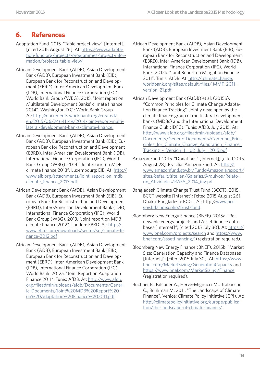## **6. References**

- Adaptation Fund. 2015. "Table project view" [Internet]; [cited 2015 August 26]. At: [https://www.adapta](https://www.adaptation-fund.org/projects-programmes/project-information/projects-table-view/)[tion-fund.org/projects-programmes/project-infor](https://www.adaptation-fund.org/projects-programmes/project-information/projects-table-view/)[mation/projects-table-view/](https://www.adaptation-fund.org/projects-programmes/project-information/projects-table-view/)
- African Development Bank (AfDB), Asian Development Bank (ADB), European Investment Bank (EIB), European Bank for Reconstruction and Development (EBRD), Inter-American Development Bank (IDB), International Finance Corporation (IFC), World Bank Group (WBG). 2015. "Joint report on Multilateral Development Banks' climate finance 2014". Washington D.C.: World Bank Group. At: [http://documents.worldbank.org/curated/](http://documents.worldbank.org/curated/en/2015/06/24641149/2014-joint-report-multilateral-development-banks-climate-finance) [en/2015/06/24641149/2014-joint-report-multi](http://documents.worldbank.org/curated/en/2015/06/24641149/2014-joint-report-multilateral-development-banks-climate-finance)[lateral-development-banks-climate-finance](http://documents.worldbank.org/curated/en/2015/06/24641149/2014-joint-report-multilateral-development-banks-climate-finance).
- African Development Bank (AfDB), Asian Development Bank (ADB), European Investment Bank (EIB), European Bank for Reconstruction and Development (EBRD), Inter-American Development Bank (IDB), International Finance Corporation (IFC), World Bank Group (WBG). 2014. "Joint report on MDB climate finance 2013". Luxembourg: EIB. At: [http://](http://www.eib.org/attachments/joint_report_on_mdb_climate_finance_2013.pdf) [www.eib.org/attachments/joint\\_report\\_on\\_mdb\\_](http://www.eib.org/attachments/joint_report_on_mdb_climate_finance_2013.pdf) [climate\\_finance\\_2013.pdf](http://www.eib.org/attachments/joint_report_on_mdb_climate_finance_2013.pdf)
- African Development Bank (AfDB), Asian Development Bank (ADB), European Investment Bank (EIB), European Bank for Reconstruction and Development (EBRD), Inter-American Development Bank (IDB), International Finance Corporation (IFC), World Bank Group (WBG). 2013. "Joint report on MDB climate finance 2012". London: EBRD. At: [http://](http://www.ebrd.com/downloads/sector/sei/climate-finance-2012.pdf) [www.ebrd.com/downloads/sector/sei/climate-fi](http://www.ebrd.com/downloads/sector/sei/climate-finance-2012.pdf)[nance-2012.pdf](http://www.ebrd.com/downloads/sector/sei/climate-finance-2012.pdf)
- African Development Bank (AfDB), Asian Development Bank (ADB), European Investment Bank (EIB), European Bank for Reconstruction and Development (EBRD), Inter-American Development Bank (IDB), International Finance Corporation (IFC), World Bank. 2012a. "Joint Report on Adaptation Finance 2011". Tunis: AfDB. At: [http://www.afdb.](http://www.afdb.org/fileadmin/uploads/afdb/Documents/Generic-Documents/Joint%20MDB%20Report%20on%20Adaptation%20Finance%202011.pdf) [org/fileadmin/uploads/afdb/Documents/Gener](http://www.afdb.org/fileadmin/uploads/afdb/Documents/Generic-Documents/Joint%20MDB%20Report%20on%20Adaptation%20Finance%202011.pdf)[ic-Documents/Joint%20MDB%20Report%20](http://www.afdb.org/fileadmin/uploads/afdb/Documents/Generic-Documents/Joint%20MDB%20Report%20on%20Adaptation%20Finance%202011.pdf) [on%20Adaptation%20Finance%202011.pdf](http://www.afdb.org/fileadmin/uploads/afdb/Documents/Generic-Documents/Joint%20MDB%20Report%20on%20Adaptation%20Finance%202011.pdf).
- African Development Bank (AfDB), Asian Development Bank (ADB), European Investment Bank (EIB), European Bank for Reconstruction and Development (EBRD), Inter-American Development Bank (IDB), International Finance Corporation (IFC), World Bank. 2012b. "Joint Report on Mitigation Finance 2011". Tunis: AfDB. At: http:// climatechange. worldbank.org/sites/default/files/ MMF\_2011\_ version\_21.pdf.
- African Development Bank (AfDB) et al. (2015b). "Common Principles for Climate Change Adaptation Finance Tracking". Jointly developed by the climate finance group of multilateral development banks (MDBs) and the International Development Finance Club (IDFC). Tunis: AfDB. July 2015. At: [http://www.afdb.org/fileadmin/uploads/afdb/](http://www.afdb.org/fileadmin/uploads/afdb/Documents/Generic-Documents/Common_Principles_for_Climate_Change_Adaptation_Finance_Tracking_-_Version_1__02_July__2015.pdf) [Documents/Generic-Documents/Common\\_Prin](http://www.afdb.org/fileadmin/uploads/afdb/Documents/Generic-Documents/Common_Principles_for_Climate_Change_Adaptation_Finance_Tracking_-_Version_1__02_July__2015.pdf)ciples for Climate Change Adaptation Finance [Tracking\\_-\\_Version\\_1\\_\\_02\\_July\\_\\_2015.pdf](http://www.afdb.org/fileadmin/uploads/afdb/Documents/Generic-Documents/Common_Principles_for_Climate_Change_Adaptation_Finance_Tracking_-_Version_1__02_July__2015.pdf)
- Amazon Fund. 2015. "Donations" [Internet]; [cited 2015 August 28]. Brasilia: Amazon Fund. At: [http://](http://www.amazonfund.gov.br/FundoAmazonia/export/sites/default/site_en/Galerias/Arquivos/Relatorio_Atividades/RAFA_2014_ing.pdf) [www.amazonfund.gov.br/FundoAmazonia/export/](http://www.amazonfund.gov.br/FundoAmazonia/export/sites/default/site_en/Galerias/Arquivos/Relatorio_Atividades/RAFA_2014_ing.pdf) [sites/default/site\\_en/Galerias/Arquivos/Relato](http://www.amazonfund.gov.br/FundoAmazonia/export/sites/default/site_en/Galerias/Arquivos/Relatorio_Atividades/RAFA_2014_ing.pdf)[rio\\_Atividades/RAFA\\_2014\\_ing.pdf](http://www.amazonfund.gov.br/FundoAmazonia/export/sites/default/site_en/Galerias/Arquivos/Relatorio_Atividades/RAFA_2014_ing.pdf)
- Bangladesh Climate Change Trust Fund (BCCT). 2015. BCCT website [Internet]; [cited 2015 August 26]. Dhaka, Bangladesh: BCCT. At: http:/[/www.bcct.](http://www.bcct.gov.bd/index.php/trust-fund) [gov.bd/index.php/trust-fund](http://www.bcct.gov.bd/index.php/trust-fund)
- Bloomberg New Energy Finance (BNEF). 2015a. "Renewable energy projects and Asset finance databases [Internet]"; [cited 2015 July 30]. At: [https://](https://www.bnef.com/projects/search) [www.bnef.com/projects/search](https://www.bnef.com/projects/search) and [https://www.](https://www.bnef.com/assetfinancing/) [bnef.com/assetfinancing/](https://www.bnef.com/assetfinancing/) (registration required).
- Bloomberg New Energy Finance (BNEF). 2015b. "Market Size: Generation Capacity and Finance Databases [Internet]"; [cited 2015 July 30]. At: [https://www.](https://www.bnef.com/MarketSizing/GenerationCapacity) [bnef.com/MarketSizing/GenerationCapacity](https://www.bnef.com/MarketSizing/GenerationCapacity) and <https://www.bnef.com/MarketSizing/Finance> (registration required).
- Buchner B., Falconer A., Hervé-Mignucci M., Trabacchi C., Brinkman M. 2011. "The Landscape of Climate Finance". Venice: Climate Policy Initiative (CPI). At: [http://climatepolicyinitiative.org/europe/publica](http://climatepolicyinitiative.org/europe/publication/the-landscape-of-climate-finance/)[tion/the-landscape-of-climate-finance/](http://climatepolicyinitiative.org/europe/publication/the-landscape-of-climate-finance/)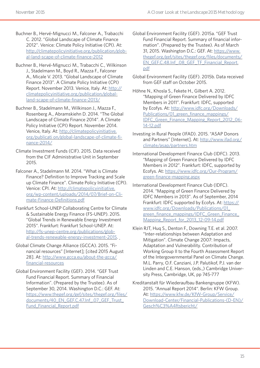- Buchner B., Hervé-Mignucci M., Falconer A., Trabacchi C. 2012. ''Global Landscape of Climate Finance 2012''. Venice: Climate Policy Initiative (CPI). At: [http://climatepolicyinitiative.org/publication/glob](http://climatepolicyinitiative.org/publication/global-landscape-of-climate-finance-2012/)[al-land-scape-of-climate-finance-2012](http://climatepolicyinitiative.org/publication/global-landscape-of-climate-finance-2012/)
- Buchner B., Hervé-Mignucci M., Trabacchi C., Wilkinson J., Stadelmann M., Boyd R., Mazza F., Falconer A., Micale V. 2013. "Global Landscape of Climate Finance 2013". A Climate Policy Initiative (CPI) Report. November 2013. Venice, Italy. At: [http://](http://climatepolicyinitiative.org/publication/global-landscape-of-climate-finance-2013/) [climatepolicyinitiative.org/publication/global](http://climatepolicyinitiative.org/publication/global-landscape-of-climate-finance-2013/)[land-scape-of-climate-finance-2013/](http://climatepolicyinitiative.org/publication/global-landscape-of-climate-finance-2013/)
- Buchner B., Stadelmann M., Wilkinson J., Mazza F., Rosenberg A., Abramskiehn D. 2014. "The Global Landscape of Climate Finance 2014". A Climate Policy Initiative (CPI) Report. November 2014. Venice, Italy. At: [http://climatepolicyinitiative.](http://climatepolicyinitiative.org/publicati%20on/global-landscape-of-climate-finance-2014/) [org/publicati on/global-landscape-of-climate-fi](http://climatepolicyinitiative.org/publicati%20on/global-landscape-of-climate-finance-2014/)[nance-2014/](http://climatepolicyinitiative.org/publicati%20on/global-landscape-of-climate-finance-2014/)
- Climate Investment Funds (CIF). 2015. Data received from the CIF Administrative Unit in September 2015.
- Falconer A., Stadelmann M. 2014. "What is Climate Finance? Definition to Improve Tracking and Scale up Climate Finance". Climate Policy Initiative (CPI). Venice: CPI. At: [http://climatepolicyinitiative.](http://climatepolicyinitiative.org/wp-content/uploads/2014/07/Brief-on-Climate-Finance-Definitions.pdf) [org/wp-content/uploads/2014/07/Brief-on-Cli](http://climatepolicyinitiative.org/wp-content/uploads/2014/07/Brief-on-Climate-Finance-Definitions.pdf)[mate-Finance-Definitions.pdf](http://climatepolicyinitiative.org/wp-content/uploads/2014/07/Brief-on-Climate-Finance-Definitions.pdf)
- Frankfurt School-UNEP Collaborating Centre for Climate & Sustainable Energy Finance (FS-UNEP). 2015. "Global Trends in Renewable Energy Investment 2015". Frankfurt: Frankfurt School-UNEP. At: [http://fs-unep-centre.org/publications/glob](http://fs-unep-centre.org/publications/global-trends-renewable-energy-investment-2015)[al-trends-renewable-energy-investment-2015.](http://fs-unep-centre.org/publications/global-trends-renewable-energy-investment-2015)
- Global Climate Change Alliance (GCCA). 2015. "Financial resources" [Internet]; [cited 2015 August 28]. At: [http://www.gcca.eu/about-the-gcca/](http://www.gcca.eu/about-the-gcca/financial-resources) [financial-resources](http://www.gcca.eu/about-the-gcca/financial-resources)
- Global Environment Facility (GEF). 2014. "GEF Trust Fund Financial Report. Summary of Financial Information". (Prepared by the Trustee). As of September 30, 2014. Washington D.C.: GEF. At: [https://www.thegef.org/gef/sites/thegef.org/files/](https://www.thegef.org/gef/sites/thegef.org/files/documents/40_EN_GEF.C.47.Inf_.07_GEF_Trust_Fund_Financial_Report.pdf) [documents/40\\_EN\\_GEF.C.47.Inf\\_.07\\_GEF\\_Trust\\_](https://www.thegef.org/gef/sites/thegef.org/files/documents/40_EN_GEF.C.47.Inf_.07_GEF_Trust_Fund_Financial_Report.pdf) [Fund\\_Financial\\_Report.pdf](https://www.thegef.org/gef/sites/thegef.org/files/documents/40_EN_GEF.C.47.Inf_.07_GEF_Trust_Fund_Financial_Report.pdf)
- Global Environment Facility (GEF). 2015a. "GEF Trust Fund Financial Report. Summary of financial information". (Prepared by the Trustee). As of March 31, 2015. Washington D.C.: GEF. At: [https://www.](https://www.thegef.org/gef/sites/thegef.org/files/documents/EN_GEF.C.48.Inf_.08_GEF_TF_Financial_Report.pdf) [thegef.org/gef/sites/thegef.org/files/documents/](https://www.thegef.org/gef/sites/thegef.org/files/documents/EN_GEF.C.48.Inf_.08_GEF_TF_Financial_Report.pdf) [EN\\_GEF.C.48.Inf\\_.08\\_GEF\\_TF\\_Financial\\_Report.](https://www.thegef.org/gef/sites/thegef.org/files/documents/EN_GEF.C.48.Inf_.08_GEF_TF_Financial_Report.pdf) [pdf](https://www.thegef.org/gef/sites/thegef.org/files/documents/EN_GEF.C.48.Inf_.08_GEF_TF_Financial_Report.pdf)
- Global Environment Facility (GEF). 2015b. Data received from GEF staff on October 2015.
- Höhne N., Khosla S., Fekete H., Gilbert A. 2012. "Mapping of Green Finance Delivered by IDFC Members in 2011". Frankfurt: IDFC, supported by Ecofys. At: [http://www.idfc.org/Downloads/](http://www.idfc.org/Downloads/Publications/01_green_finance_mappings/IDFC_Green_Finance_Mapping_Report_2012_06-14-12.pdf) [Publications/01\\_green\\_finance\\_mappings/](http://www.idfc.org/Downloads/Publications/01_green_finance_mappings/IDFC_Green_Finance_Mapping_Report_2012_06-14-12.pdf) [IDFC\\_Green\\_Finance\\_Mapping\\_Report\\_2012\\_06-](http://www.idfc.org/Downloads/Publications/01_green_finance_mappings/IDFC_Green_Finance_Mapping_Report_2012_06-14-12.pdf) [14-12.pdf](http://www.idfc.org/Downloads/Publications/01_green_finance_mappings/IDFC_Green_Finance_Mapping_Report_2012_06-14-12.pdf)
- Investing in Rural People (IFAD). 2015. "ASAP Donors and Partners" [Internet]. At: [http://www.ifad.org/](http://www.ifad.org/climate/asap/partners.htm) [climate/asap/partners.htm](http://www.ifad.org/climate/asap/partners.htm)
- International Development Finance Club (IDFC). 2013. "Mapping of Green Finance Delivered by IDFC Members in 2012". Frankfurt: IDFC, supported by Ecofys. At: [https://www.idfc.org/Our-Program/](https://www.idfc.org/Our-Program/green-finance-mapping.aspx) [green-finance-mapping.aspx](https://www.idfc.org/Our-Program/green-finance-mapping.aspx)
- International Development Finance Club (IDFC). 2014. "Mapping of Green Finance Delivered by IDFC Members in 2013". As of September, 2014 Frankfurt: IDFC supported by Ecofys. At: [https://](https://www.idfc.org/Downloads/Publications/01_green_finance_mappings/IDFC_Green_Finance_Mapping_Report_for_2013_12-09-14.pdf) [www.idfc.org/Downloads/Publications/01\\_](https://www.idfc.org/Downloads/Publications/01_green_finance_mappings/IDFC_Green_Finance_Mapping_Report_for_2013_12-09-14.pdf) green finance mappings/IDFC Green Finance Mapping Report for 2013 12-09-14.pdf
- Klein RJT, Huq S., Denton F., Downing T.E. et al. 2007. "Inter-relationships between Adaptation and Mitigation". Climate Change 2007: Impacts, Adaptation and Vulnerability. Contribution of Working Group II to the Fourth Assessment Report of the Intergovernmental Panel on Climate Change. M.L. Parry, O.F. Canziani, J.P. Palutikof, P.J. van der Linden and C.E. Hanson, (eds.,) Cambridge University Press, Cambridge, UK, pp 745-777
- Kreditanstalt für Wiederaufbau Bankengruppe (KFW). 2015. "Annual Report 2014". Berlin: KFW Group. At: [https://www.kfw.de/KfW-Group/Service/](https://www.kfw.de/KfW-Group/Service/Download-Center/Financial-Publications-(D-EN)/Gesch%C3%A4ftsbericht/) [Download-Center/Financial-Publications-\(D-EN\)/](https://www.kfw.de/KfW-Group/Service/Download-Center/Financial-Publications-(D-EN)/Gesch%C3%A4ftsbericht/) [Gesch%C3%A4ftsbericht/](https://www.kfw.de/KfW-Group/Service/Download-Center/Financial-Publications-(D-EN)/Gesch%C3%A4ftsbericht/)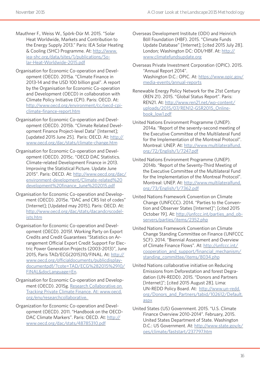- Mauthner F., Weiss W., Spörk-Dür M. 2015. "Solar Heat Worldwide, Markets and Contribution to the Energy Supply 2013." Paris: IEA Solar Heating & Cooling (SHC) Programme. At: [http://www.](http://www.iea-shc.org/data/sites/1/publications/Solar-Heat-Worldwide-2015.pdf) [iea-shc.org/data/sites/1/publications/So](http://www.iea-shc.org/data/sites/1/publications/Solar-Heat-Worldwide-2015.pdf)[lar-Heat-Worldwide-2015.pdf](http://www.iea-shc.org/data/sites/1/publications/Solar-Heat-Worldwide-2015.pdf)
- Organisation for Economic Co-operation and Development (OECD). 2015a. "Climate Finance in 2013-14 and the USD 100 billion goal". A report by the Organisation for Economic Co-operation and Development (OECD) in collaboration with Climate Policy Initiative (CPI). Paris: OECD. At: [http://www.oecd.org/environment/cc/oecd-cpi](http://www.oecd.org/environment/cc/oecd-cpi-climate-finance-report.htm)[climate-finance-report.htm](http://www.oecd.org/environment/cc/oecd-cpi-climate-finance-report.htm)
- Organisation for Economic Co-operation and Development (OECD). 2015b. "Climate Related Development Finance Project-level Data" [Internet]; [updated 2015 June 25]. Paris: OECD. At: [http://](http://www.oecd.org/dac/stats/climate-change.htm) [www.oecd.org/dac/stats/climate-change.htm](http://www.oecd.org/dac/stats/climate-change.htm)
- Organisation for Economic Co-operation and Development (OECD). 2015c. "OECD DAC Statistics. Climate-related Development Finance in 2013. Improving the Statistical Picture. Update June 2015". Paris: OECD. At: [http://www.oecd.org/dac/](http://www.oecd.org/dac/environment-development/Climate-related%20development%20finance_June%202015.pdf) [environment-development/Climate-related%20](http://www.oecd.org/dac/environment-development/Climate-related%20development%20finance_June%202015.pdf) [development%20finance\\_June%202015.pdf](http://www.oecd.org/dac/environment-development/Climate-related%20development%20finance_June%202015.pdf)
- Organisation for Economic Co-operation and Development (OECD). 2015e. "DAC and CRS list of codes" [Internet]; [Updated may 2015]. Paris: OECD. At: http://www.oecd.org/dac/stats/dacandcrscodelists.htm
- Organisation for Economic Co-operation and Development (OECD). 2015f. Working Party on Export Credits and Credit Guarantees "Statistics on Arrangement Official Export Credit Support For Electric Power Generation Projects (2003-2013)", June 2015, Paris TAD/ECG(2015)10/FINAL. At: [http://](http://www.oecd.org/officialdocuments/publicdisplaydocumentpdf/?cote=TAD/ECG%282015%2910/FINAL&docLanguage=En) [www.oecd.org/officialdocuments/publicdisplay](http://www.oecd.org/officialdocuments/publicdisplaydocumentpdf/?cote=TAD/ECG%282015%2910/FINAL&docLanguage=En)[documentpdf/?cote=TAD/ECG%282015%2910/](http://www.oecd.org/officialdocuments/publicdisplaydocumentpdf/?cote=TAD/ECG%282015%2910/FINAL&docLanguage=En) [FINAL&docLanguage=En.](http://www.oecd.org/officialdocuments/publicdisplaydocumentpdf/?cote=TAD/ECG%282015%2910/FINAL&docLanguage=En)
- Organisation for Economic Co-operation and Development (OECD). 2015g. Research Collaborative on Tracking Private Climate Finance. At: [www.oecd.](http://www.oecd.org/env/researchcollaborative) [org/env/researchcollaborative.](http://www.oecd.org/env/researchcollaborative)
- Organization for Economic Co-operation and Development (OECD). 2011. "Handbook on the OECD-DAC Climate Markers". Paris: OECD. At: [http://](http://www.oecd.org/dac/stats/48785310.pdf) [www.oecd.org/dac/stats/48785310.pdf](http://www.oecd.org/dac/stats/48785310.pdf)
- Overseas Development Institute (ODI) and Heinrich Böll Foundation (HBF). 2015. "Climate Funds Update Database" [Internet]; [cited 2015 July 28]. London; Washington DC: ODI/HBF. At: [http://](http://www.climatefundsupdate.org) [www.climatefundsupdate.org](http://www.climatefundsupdate.org)
- Overseas Private Investment Corporation (OPIC). 2015. "Annual Report 2014". Washington D.C.: OPIC. At: [https://www.opic.gov/](https://www.opic.gov/media-events/annual-reports) [media-events/annual-reports](https://www.opic.gov/media-events/annual-reports)
- Renewable Energy Policy Network for the 21st Century (REN 21). 2015. "Global Status Report". Paris: REN21. At: [http://www.ren21.net/wp-content/](http://www.ren21.net/wp-content/uploads/2015/07/REN12-GSR2015_Onlinebook_low1.pdf) [uploads/2015/07/REN12-GSR2015\\_Online](http://www.ren21.net/wp-content/uploads/2015/07/REN12-GSR2015_Onlinebook_low1.pdf)[book\\_low1.pdf](http://www.ren21.net/wp-content/uploads/2015/07/REN12-GSR2015_Onlinebook_low1.pdf)
- United Nations Environment Programme (UNEP). 2014a. "Report of the seventy-second meeting of the Executive Committee of the Multilateral Fund for the Implementation of the Montreal Protocol". Montreal: UNEP. At: [http://www.multilateralfund.](http://www.multilateralfund.org/72/English/1/7247.pdf) [org/72/English/1/7247.pdf](http://www.multilateralfund.org/72/English/1/7247.pdf)
- United Nations Environment Programme (UNEP). 2014b. "Report of the Seventy-Third Meeting of the Executive Committee of the Multilateral Fund for the Implementation of the Montreal Protocol". Montreal: UNEP. At: [http://www.multilateralfund.](http://www.multilateralfund.org/73/English/1/7362.pdf) [org/73/English/1/7362.pdf](http://www.multilateralfund.org/73/English/1/7362.pdf)
- United Nations Framework Convention on Climate Change (UNFCCC). 2014. "Parties to the Convention and Observer States [Internet]"; [cited 2015 October 19]. At: [http://unfccc.int/parties\\_and\\_ob](http://unfccc.int/parties_and_observers/parties/items/2352.php)[servers/parties/items/2352.php](http://unfccc.int/parties_and_observers/parties/items/2352.php)
- United Nations Framework Convention on Climate Change Standing Committee on Finance (UNFCCC SCF). 2014. "Biennial Assessment and Overview of Climate Finance Flows". At: [http://unfccc.int/](http://unfccc.int/cooperation_and_support/financial_mechanism/standing_committee/items/8034.php) [cooperation\\_and\\_support/financial\\_mechanism/](http://unfccc.int/cooperation_and_support/financial_mechanism/standing_committee/items/8034.php) [standing\\_committee/items/8034.php](http://unfccc.int/cooperation_and_support/financial_mechanism/standing_committee/items/8034.php)
- United Nations collaborative initiative on Reducing Emissions from Deforestation and forest Degradation (UN-REDD). 2015. "Donors and Partners [Internet]"; [cited 2015 August 28]. Lima: UN-REDD Policy Board. At: [http://www.un-redd.](http://www.un-redd.org/Donors_and_Partners/tabid/102612/Default.aspx) [org/Donors\\_and\\_Partners/tabid/102612/Default.](http://www.un-redd.org/Donors_and_Partners/tabid/102612/Default.aspx) [aspx](http://www.un-redd.org/Donors_and_Partners/tabid/102612/Default.aspx)
- United States (US) Government. 2015. "U.S. Climate Finance Overview 2010-2014". February, 2015. United States Department of State. Washington D.C.: US Government. At: [http://www.state.gov/e/](http://www.state.gov/e/oes/climate/faststart/237797.htm) [oes/climate/faststart/237797.htm](http://www.state.gov/e/oes/climate/faststart/237797.htm)